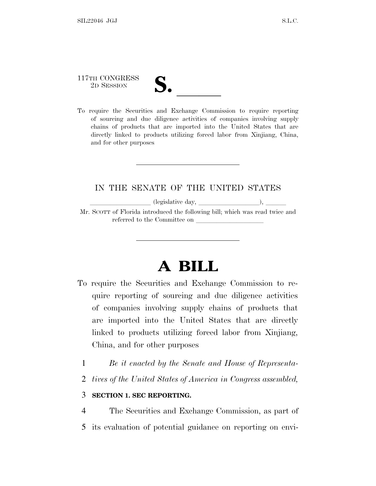## 117TH CONGRESS

117TH CONGRESS<br>
2D SESSION<br>
To require the Securities and Exchange Commission to require reporting of sourcing and due diligence activities of companies involving supply chains of products that are imported into the United States that are directly linked to products utilizing forced labor from Xinjiang, China, and for other purposes

## IN THE SENATE OF THE UNITED STATES

 $\ell$ llegislative day,  $\ell$ ,  $\ell$ ,  $\ell$ ,  $\ell$ ,  $\ell$ ,  $\ell$ ,  $\ell$ ,  $\ell$ ,  $\ell$ ,  $\ell$ ,  $\ell$ ,  $\ell$ ,  $\ell$ ,  $\ell$ ,  $\ell$ ,  $\ell$ ,  $\ell$ ,  $\ell$ ,  $\ell$ ,  $\ell$ ,  $\ell$ ,  $\ell$ ,  $\ell$ ,  $\ell$ ,  $\ell$ ,  $\ell$ ,  $\ell$ ,  $\ell$ ,  $\ell$ ,  $\ell$ ,  $\ell$ ,  $\ell$ ,  $\ell$ ,

Mr. SCOTT of Florida introduced the following bill; which was read twice and referred to the Committee on

## **A BILL**

- To require the Securities and Exchange Commission to require reporting of sourcing and due diligence activities of companies involving supply chains of products that are imported into the United States that are directly linked to products utilizing forced labor from Xinjiang, China, and for other purposes
	- 1 *Be it enacted by the Senate and House of Representa-*
	- 2 *tives of the United States of America in Congress assembled,*

## 3 **SECTION 1. SEC REPORTING.**

- 4 The Securities and Exchange Commission, as part of
- 5 its evaluation of potential guidance on reporting on envi-